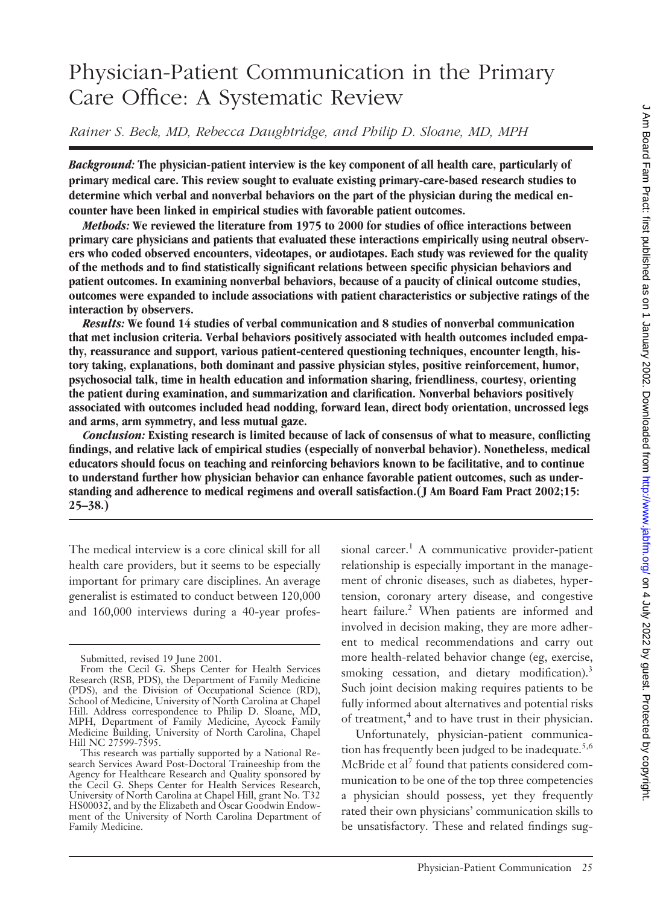# Physician-Patient Communication in the Primary Care Office: A Systematic Review

*Rainer S. Beck, MD, Rebecca Daughtridge, and Philip D. Sloane, MD, MPH*

*Background:* **The physician-patient interview is the key component of all health care, particularly of primary medical care. This review sought to evaluate existing primary-care-based research studies to determine which verbal and nonverbal behaviors on the part of the physician during the medical encounter have been linked in empirical studies with favorable patient outcomes.**

*Methods:* **We reviewed the literature from 1975 to 2000 for studies of office interactions between primary care physicians and patients that evaluated these interactions empirically using neutral observers who coded observed encounters, videotapes, or audiotapes. Each study was reviewed for the quality of the methods and to find statistically significant relations between specific physician behaviors and patient outcomes. In examining nonverbal behaviors, because of a paucity of clinical outcome studies, outcomes were expanded to include associations with patient characteristics or subjective ratings of the interaction by observers.**

*Results:* **We found 14 studies of verbal communication and 8 studies of nonverbal communication that met inclusion criteria. Verbal behaviors positively associated with health outcomes included empathy, reassurance and support, various patient-centered questioning techniques, encounter length, history taking, explanations, both dominant and passive physician styles, positive reinforcement, humor, psychosocial talk, time in health education and information sharing, friendliness, courtesy, orienting the patient during examination, and summarization and clarification. Nonverbal behaviors positively associated with outcomes included head nodding, forward lean, direct body orientation, uncrossed legs and arms, arm symmetry, and less mutual gaze.**

*Conclusion:* **Existing research is limited because of lack of consensus of what to measure, conflicting findings, and relative lack of empirical studies (especially of nonverbal behavior). Nonetheless, medical educators should focus on teaching and reinforcing behaviors known to be facilitative, and to continue to understand further how physician behavior can enhance favorable patient outcomes, such as understanding and adherence to medical regimens and overall satisfaction.(J Am Board Fam Pract 2002;15: 25–38.)**

The medical interview is a core clinical skill for all health care providers, but it seems to be especially important for primary care disciplines. An average generalist is estimated to conduct between 120,000 and 160,000 interviews during a 40-year professional career.<sup>1</sup> A communicative provider-patient relationship is especially important in the management of chronic diseases, such as diabetes, hypertension, coronary artery disease, and congestive heart failure.<sup>2</sup> When patients are informed and involved in decision making, they are more adherent to medical recommendations and carry out more health-related behavior change (eg, exercise, smoking cessation, and dietary modification).<sup>3</sup> Such joint decision making requires patients to be fully informed about alternatives and potential risks of treatment,<sup>4</sup> and to have trust in their physician.

Unfortunately, physician-patient communication has frequently been judged to be inadequate. $5,6$ McBride et al<sup>7</sup> found that patients considered communication to be one of the top three competencies a physician should possess, yet they frequently rated their own physicians' communication skills to be unsatisfactory. These and related findings sug-

Submitted, revised 19 June 2001.

From the Cecil G. Sheps Center for Health Services Research (RSB, PDS), the Department of Family Medicine (PDS), and the Division of Occupational Science (RD), School of Medicine, University of North Carolina at Chapel Hill. Address correspondence to Philip D. Sloane, MD, MPH, Department of Family Medicine, Aycock Family Medicine Building, University of North Carolina, Chapel Hill NC 27599-7595.

This research was partially supported by a National Research Services Award Post-Doctoral Traineeship from the Agency for Healthcare Research and Quality sponsored by the Cecil G. Sheps Center for Health Services Research, University of North Carolina at Chapel Hill, grant No. T32 HS00032, and by the Elizabeth and Oscar Goodwin Endowment of the University of North Carolina Department of Family Medicine.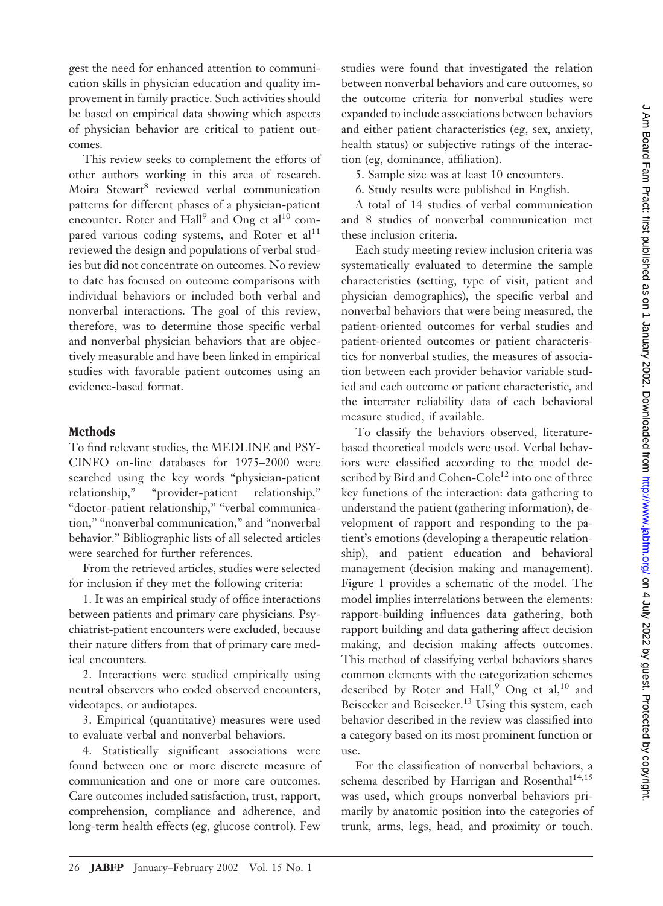gest the need for enhanced attention to communication skills in physician education and quality improvement in family practice. Such activities should be based on empirical data showing which aspects of physician behavior are critical to patient outcomes.

This review seeks to complement the efforts of other authors working in this area of research. Moira Stewart<sup>8</sup> reviewed verbal communication patterns for different phases of a physician-patient encounter. Roter and  $\text{Hall}^9$  and Ong et al<sup>10</sup> compared various coding systems, and Roter et  $al<sup>11</sup>$ reviewed the design and populations of verbal studies but did not concentrate on outcomes. No review to date has focused on outcome comparisons with individual behaviors or included both verbal and nonverbal interactions. The goal of this review, therefore, was to determine those specific verbal and nonverbal physician behaviors that are objectively measurable and have been linked in empirical studies with favorable patient outcomes using an evidence-based format.

#### **Methods**

To find relevant studies, the MEDLINE and PSY-CINFO on-line databases for 1975–2000 were searched using the key words "physician-patient relationship," "provider-patient relationship," "doctor-patient relationship," "verbal communication," "nonverbal communication," and "nonverbal behavior." Bibliographic lists of all selected articles were searched for further references.

From the retrieved articles, studies were selected for inclusion if they met the following criteria:

1. It was an empirical study of office interactions between patients and primary care physicians. Psychiatrist-patient encounters were excluded, because their nature differs from that of primary care medical encounters.

2. Interactions were studied empirically using neutral observers who coded observed encounters, videotapes, or audiotapes.

3. Empirical (quantitative) measures were used to evaluate verbal and nonverbal behaviors.

4. Statistically significant associations were found between one or more discrete measure of communication and one or more care outcomes. Care outcomes included satisfaction, trust, rapport, comprehension, compliance and adherence, and long-term health effects (eg, glucose control). Few

studies were found that investigated the relation between nonverbal behaviors and care outcomes, so the outcome criteria for nonverbal studies were expanded to include associations between behaviors and either patient characteristics (eg, sex, anxiety, health status) or subjective ratings of the interaction (eg, dominance, affiliation).

5. Sample size was at least 10 encounters.

6. Study results were published in English.

A total of 14 studies of verbal communication and 8 studies of nonverbal communication met these inclusion criteria.

Each study meeting review inclusion criteria was systematically evaluated to determine the sample characteristics (setting, type of visit, patient and physician demographics), the specific verbal and nonverbal behaviors that were being measured, the patient-oriented outcomes for verbal studies and patient-oriented outcomes or patient characteristics for nonverbal studies, the measures of association between each provider behavior variable studied and each outcome or patient characteristic, and the interrater reliability data of each behavioral measure studied, if available.

To classify the behaviors observed, literaturebased theoretical models were used. Verbal behaviors were classified according to the model described by Bird and Cohen-Cole<sup>12</sup> into one of three key functions of the interaction: data gathering to understand the patient (gathering information), development of rapport and responding to the patient's emotions (developing a therapeutic relationship), and patient education and behavioral management (decision making and management). Figure 1 provides a schematic of the model. The model implies interrelations between the elements: rapport-building influences data gathering, both rapport building and data gathering affect decision making, and decision making affects outcomes. This method of classifying verbal behaviors shares common elements with the categorization schemes described by Roter and Hall,<sup>9</sup> Ong et al,<sup>10</sup> and Beisecker and Beisecker.<sup>13</sup> Using this system, each behavior described in the review was classified into a category based on its most prominent function or use.

For the classification of nonverbal behaviors, a schema described by Harrigan and Rosenthal<sup>14,15</sup> was used, which groups nonverbal behaviors primarily by anatomic position into the categories of trunk, arms, legs, head, and proximity or touch.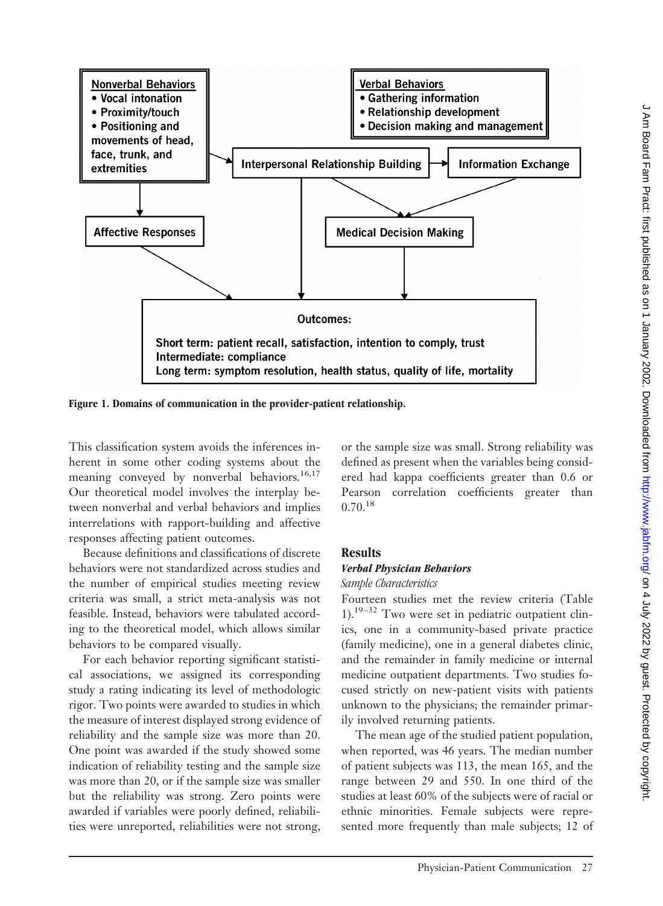

**Figure 1. Domains of communication in the provider-patient relationship.**

This classification system avoids the inferences inherent in some other coding systems about the meaning conveyed by nonverbal behaviors.<sup>16,17</sup> Our theoretical model involves the interplay between nonverbal and verbal behaviors and implies interrelations with rapport-building and affective responses affecting patient outcomes.

Because definitions and classifications of discrete behaviors were not standardized across studies and the number of empirical studies meeting review criteria was small, a strict meta-analysis was not feasible. Instead, behaviors were tabulated according to the theoretical model, which allows similar behaviors to be compared visually.

For each behavior reporting significant statistical associations, we assigned its corresponding study a rating indicating its level of methodologic rigor. Two points were awarded to studies in which the measure of interest displayed strong evidence of reliability and the sample size was more than 20. One point was awarded if the study showed some indication of reliability testing and the sample size was more than 20, or if the sample size was smaller but the reliability was strong. Zero points were awarded if variables were poorly defined, reliabilities were unreported, reliabilities were not strong,

or the sample size was small. Strong reliability was defined as present when the variables being considered had kappa coefficients greater than 0.6 or Pearson correlation coefficients greater than  $0.70^{18}$ 

## **Results**

## *Verbal Physician Behaviors*

#### *Sample Characteristics*

Fourteen studies met the review criteria (Table 1).<sup>19-32</sup> Two were set in pediatric outpatient clinics, one in a community-based private practice (family medicine), one in a general diabetes clinic, and the remainder in family medicine or internal medicine outpatient departments. Two studies focused strictly on new-patient visits with patients unknown to the physicians; the remainder primarily involved returning patients.

The mean age of the studied patient population, when reported, was 46 years. The median number of patient subjects was 113, the mean 165, and the range between 29 and 550. In one third of the studies at least 60% of the subjects were of racial or ethnic minorities. Female subjects were represented more frequently than male subjects; 12 of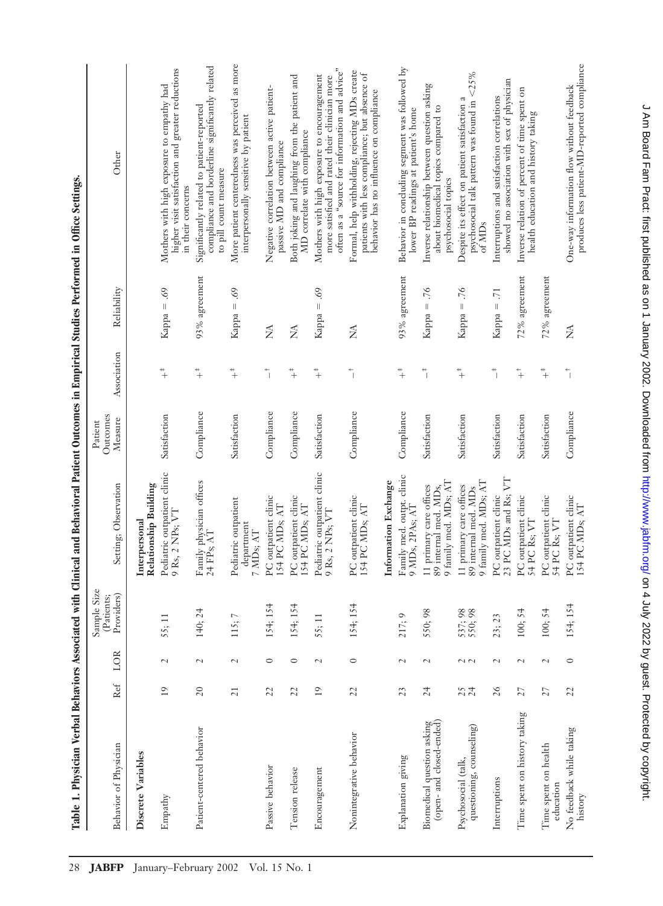| Table 1. Physician Verbal Behaviors Associated with Clinical and Behavioral Patient Outcomes in Empirical Studies Performed in Office Settings. |                 |                          |                                         |                                                                           |                                |                              |                                |                                                                                                                                                |
|-------------------------------------------------------------------------------------------------------------------------------------------------|-----------------|--------------------------|-----------------------------------------|---------------------------------------------------------------------------|--------------------------------|------------------------------|--------------------------------|------------------------------------------------------------------------------------------------------------------------------------------------|
| Behavior of Physician                                                                                                                           | Ref             | LOR                      | Sample Size<br>Providers)<br>(Patients; | Setting; Observation                                                      | Outcomes<br>Measure<br>Patient | Association                  | Reliability                    | Other                                                                                                                                          |
| Discrete Variables                                                                                                                              |                 |                          |                                         | Relationship Building<br>Interpersonal                                    |                                |                              |                                |                                                                                                                                                |
| Empathy                                                                                                                                         | 19              | $\overline{\mathcal{L}}$ | 55; 11                                  | Pediatric outpatient clinic<br>9 Rs, 2 NPs; VT                            | Satisfaction                   | $\ddagger$                   | Kappa = .69                    | higher visit satisfaction and greater reductions<br>Mothers with high exposure to empathy had<br>in their concerns                             |
| Patient-centered behavior                                                                                                                       | 20              | $\sim$                   | 140; 24                                 | Family physician offices<br>24 FPs; AT                                    | Compliance                     | $\ddagger$                   | $93\%$ agreement               | compliance and borderline significantly related<br>Significantly related to patient-reported<br>to pill count measure                          |
|                                                                                                                                                 | $\overline{21}$ | $\sim$                   | $\overline{ }$<br>115;                  | Pediatric outpatient<br>department<br>7 MDs; AT                           | Satisfaction                   | $\ddot{}+$                   | 69.<br>$Kappa =$               | More patient centeredness was perceived as more<br>interpersonally sensitive by patient                                                        |
| Passive behavior                                                                                                                                | 22              | $\circ$                  | 154; 154                                | PC outpatient clinic<br>154 PC MDs; AT                                    | Compliance                     | $\overline{\phantom{a}}$     | Ź                              | Negative correlation between active patient-<br>passive MD and compliance                                                                      |
| Tension release                                                                                                                                 | 22              | $\circ$                  | 154; 154                                | PC outpatient clinic<br>154 PC MDs; AT                                    | Compliance                     | $\ddagger$                   | Ź                              | Both joking and laughing from the patient and<br>MD correlate with compliance                                                                  |
| Encouragement                                                                                                                                   | $\overline{19}$ | $\sim$                   | 55; 11                                  | Pediatric outpatient clinic<br>9 Rs, 2 NPs; VT                            | Satisfaction                   | $\ddagger$                   | 69.<br>$\parallel$<br>Kappa -  | often as a "source for information and advice"<br>Mothers with high exposure to encouragement<br>more satisfied and rated their clinician more |
| Nonintegrative behavior                                                                                                                         | 22              | $\circ$                  | 154; 154                                | PC outpatient clinic<br>154 PC MDs; AT                                    | Compliance                     | $\overline{1}$               | Ź                              | Formal, help withholding, rejecting MDs create<br>patients with less compliance; but absence of<br>behavior has no influence on compliance     |
|                                                                                                                                                 |                 |                          |                                         | Information Exchange                                                      |                                |                              |                                |                                                                                                                                                |
| Explanation giving                                                                                                                              | 23              | $\sim$                   | $\circ$<br>217;                         | Family med. outpt. clinic<br>9 MDs, 2PAs; AT                              | Compliance                     | $\ddagger$                   | $93\%$ agreement               | Behavior in concluding segment was followed by<br>lower BP readings at patient's home                                                          |
| Biomedical question asking<br>(open- and closed-ended)                                                                                          | 24              | $\overline{\mathcal{C}}$ | 550; 98                                 | 9 family med. MDs; AT<br>11 primary care offices<br>89 internal med. MDs, | Satisfaction                   | $\ddot{\bar{\phantom{a}}}_1$ | Kappa = $.76$                  | Inverse relationship between question asking<br>about biomedical topics compared to<br>psychosocial topics                                     |
| questioning, counseling)<br>Psychosocial (talk,                                                                                                 | 24              | $\sim$ $\sim$            | 537; 98<br>550; 98                      | 9 family med. MDs; AT<br>11 primary care offices<br>89 internal med. MDs  | Satisfaction                   | $+$                          | 97.<br>$\, \parallel$<br>Kappa | psychosocial talk pattern was found in <25%<br>Despite its effect on patient satisfaction a<br>of MD <sub>s</sub>                              |
| Interruptions                                                                                                                                   | 26              | $\sim$                   | 23; 23                                  | 23 PC MDs and Rs; VT<br>PC outpatient clinic                              | Satisfaction                   | $\ddot{\phantom{1}}$         | $\overline{71}$<br>$Kappa =$   | showed no association with sex of physician<br>Interruptions and satisfaction correlations                                                     |
| Time spent on history taking                                                                                                                    | 27              | $\overline{\mathcal{C}}$ | 100; 54                                 | PC outpatient clinic<br>54 PC Rs; VT                                      | Satisfaction                   | $\ddagger$                   | $72\%$ agreement               | Inverse relation of percent of time spent on<br>health education and history taking                                                            |
| Time spent on health<br>education                                                                                                               | 27              | $\overline{\mathcal{C}}$ | 100; 54                                 | PC outpatient clinic<br>54 PC Rs; VT                                      | Satisfaction                   | $+$                          | $72\%$ agreement               |                                                                                                                                                |
| No feedback while taking<br>history                                                                                                             | 22              | $\circ$                  | 154; 154                                | PC outpatient clinic<br>154 PC MDs; AT                                    | Compliance                     | $\overline{\phantom{a}}$     | Ź                              | produces less patient-MD-reported compliance<br>One-way information flow without feedback                                                      |

 $\rightarrow$  $\ddot{\epsilon}$ Ė  $\frac{1}{2}$ ÷  $\frac{1}{4}$ . Ë  $\ddot{z}$ ł,  $\frac{1}{2}$ į,  $\overline{\phantom{a}}$ . É Table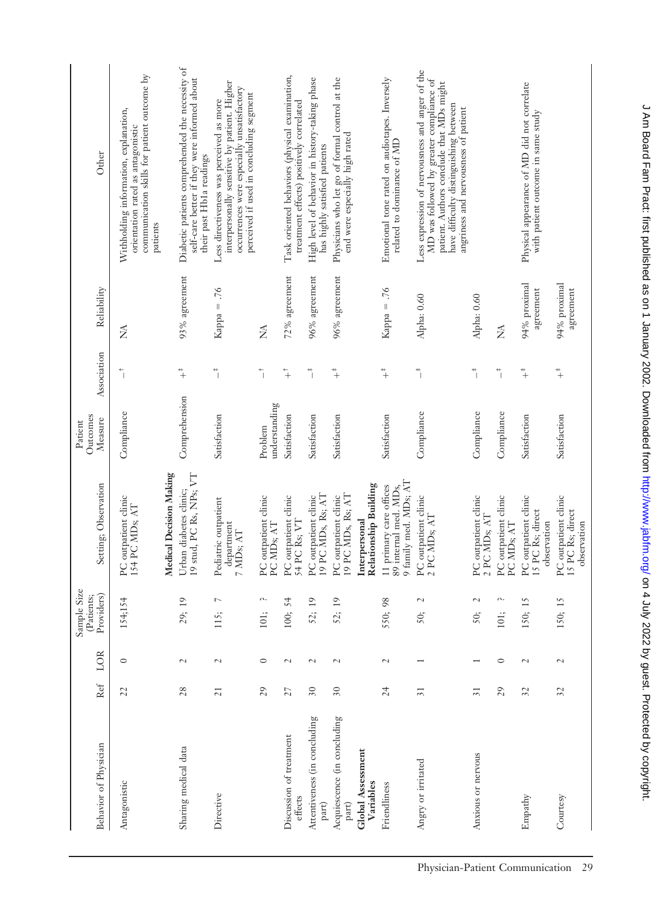| Behavior of Physician                  | Ref                      | LOR                      | Sample Size<br>Providers)<br>(Patients; | Setting; Observation                                                      | Outcomes<br>Measure<br>Patient | Association                   | Reliability               | Other                                                                                                                                                                                                                     |
|----------------------------------------|--------------------------|--------------------------|-----------------------------------------|---------------------------------------------------------------------------|--------------------------------|-------------------------------|---------------------------|---------------------------------------------------------------------------------------------------------------------------------------------------------------------------------------------------------------------------|
| Antagonistic                           | 22                       | $\circ$                  | 154;154                                 | PC outpatient clinic<br>154 PC MD <sub>S; AT</sub>                        | Compliance                     | $\overline{\phantom{a}}$      | ≸                         | communication skills for patient outcome by<br>Withholding information, explanation,<br>orientation rated as antagonistic<br>patients                                                                                     |
|                                        |                          |                          |                                         | Medical Decision Making                                                   |                                |                               |                           |                                                                                                                                                                                                                           |
| Sharing medical data                   | 28                       | $\sim$                   | 29; 19                                  | 19 stud, PC Rs, NPs; VT<br>Urban diabetes clinic;                         | Comprehension                  | $+$                           | $93\%$ agreement          | Diabetic patients comprehended the necessity of<br>self-care better if they were informed about<br>their past Hb1a readings                                                                                               |
| Directive                              | 21                       | $\overline{\mathcal{L}}$ | $\overline{\phantom{0}}$<br>115;        | Pediatric outpatient<br>department<br>7 MD <sub>s; AT</sub>               | Satisfaction                   | $\ddot{ }$                    | Kappa = .76               | interpersonally sensitive by patient. Higher<br>occurrences were especially unsatisfactory<br>perceived if used in concluding segment<br>Less directiveness was perceived as more                                         |
|                                        | 29                       | $\circ$                  | n.<br>101;                              | PC outpatient clinic<br>PC MD <sub>s;</sub> AT                            | understanding<br>Problem       | $\overline{a}$                | ≸                         |                                                                                                                                                                                                                           |
| Discussion of treatment<br>effects     | 27                       | $\overline{\mathcal{L}}$ | 54<br>100;                              | PC outpatient clinic<br>54 PC Rs; VT                                      | Satisfaction                   | $\ddagger$                    | 72% agreement             | Task oriented behaviors (physical examination,<br>treatment effects) positively correlated                                                                                                                                |
| Attentiveness (in concluding<br>$part$ | $\overline{\mathbf{30}}$ | $\sim$                   | $\overline{19}$<br>52;                  | 19 PC MDs, Rs; AT<br>PC outpatient clinic                                 | Satisfaction                   | $\ddot{ }$                    | $96\%$ agreement          | High level of behavior in history-taking phase<br>has highly satisfied patients                                                                                                                                           |
| Acquiescence (in concluding<br>part)   | $\overline{30}$          | $\sim$                   | 52; 19                                  | 19 PC MDs, Rs; AT<br>PC outpatient clinic                                 | Satisfaction                   | $\ddagger$                    | 96% agreement             | Physicians who let go of formal control at the<br>end were especially high rated                                                                                                                                          |
| <b>Global Assessment</b><br>Variables  |                          |                          |                                         | Relationship Building<br>Interpersonal                                    |                                |                               |                           |                                                                                                                                                                                                                           |
| Friendliness                           | 24                       | $\sim$                   | 550; 98                                 | 9 family med. MDs; AT<br>11 primary care offices<br>89 internal med. MDs, | Satisfaction                   | $\ddagger$                    | $Kappa = .76$             | Emotional tone rated on audiotapes. Inversely<br>related to dominance of MD                                                                                                                                               |
| Angry or irritated                     | $\overline{31}$          |                          | $\overline{\mathcal{L}}$<br>50;         | PC outpatient clinic<br>2 PC MDs; AT                                      | Compliance                     | $\ddot{\bar{\phantom{a}}}$    | Alpha: 0.60               | Less expression of nervousness and anger of the<br>MD was followed by greater compliance of<br>patient. Authors conclude that MDs might<br>have difficulty distinguishing between<br>angriness and nervousness of patient |
| Anxious or nervous                     | $\overline{31}$          |                          | 2<br>50;                                | PC outpatient clinic<br>2 PC MDs; AT                                      | Compliance                     | $\ddot{\bar{\phantom{a}}}_\ $ | Alpha: 0.60               |                                                                                                                                                                                                                           |
|                                        | 29                       | $\circ$                  | Λ.<br>$101;$                            | PC outpatient clinic<br>PC MD <sub>s; AT</sub>                            | Compliance                     | $\ddot{\bar{}}$               | Ź                         |                                                                                                                                                                                                                           |
| Empathy                                | $\overline{\mathcal{S}}$ | $\sim$                   | 150; 15                                 | PC outpatient clinic<br>15 PC Rs; direct<br>observation                   | Satisfaction                   | $\ddagger$                    | 94% proximal<br>agreement | Physical appearance of MD did not correlate<br>with patient outcome in same study                                                                                                                                         |
| Courtesy                               | $\mathfrak{Z}$           | $\sim$                   | 150; 15                                 | PC outpatient clinic<br>15 PC Rs; direct<br>observation                   | Satisfaction                   | $\ddagger$                    | 94% proximal<br>agreement |                                                                                                                                                                                                                           |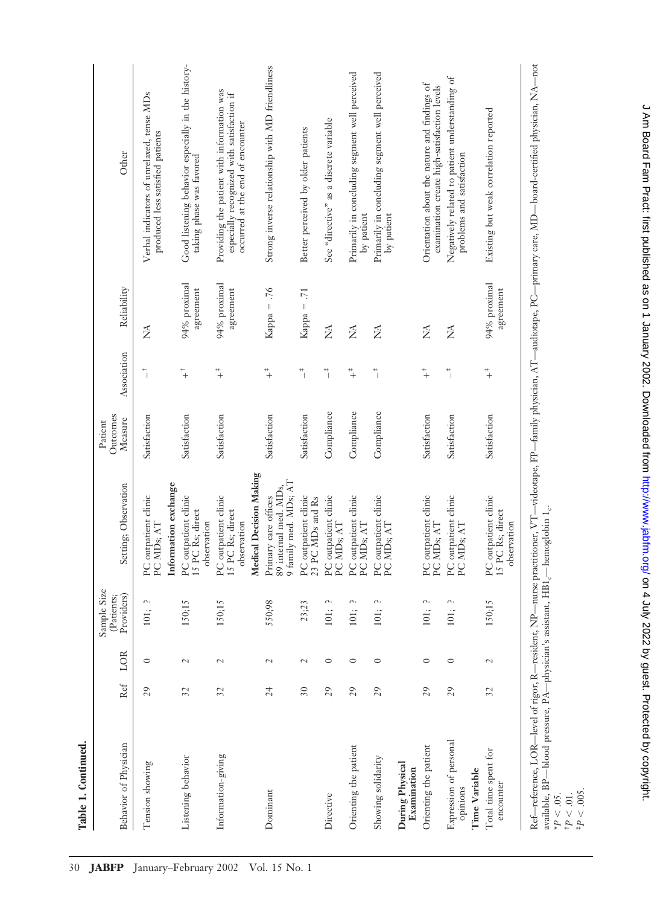| Table 1. Continued.                                 |                 |                          |                                         |                                                                                    |                                  |                                       |                              |                                                                                                                              |
|-----------------------------------------------------|-----------------|--------------------------|-----------------------------------------|------------------------------------------------------------------------------------|----------------------------------|---------------------------------------|------------------------------|------------------------------------------------------------------------------------------------------------------------------|
| Behavior of Physician                               | Ref             | LOR                      | Sample Size<br>Providers)<br>(Patients; | Setting; Observation                                                               | Outcomes<br>$Measure$<br>Patient | Association                           | Reliability                  | Other                                                                                                                        |
| Tension showing                                     | 29              | $\circ$                  | Λ.<br>101;                              | Information exchange<br>PC outpatient clinic<br>PC MD <sub>s; AT</sub>             | Satisfaction                     | $\overline{1}$                        | Ź                            | Verbal indicators of unrelaxed, tense MDs<br>produced less satisfied patients                                                |
| Listening behavior                                  | $\overline{32}$ | $\sim$                   | 150;15                                  | PC outpatient clinic<br>15 PC Rs; direct<br>observation                            | Satisfaction                     | $\ddot{+}$                            | 94% proximal<br>agreement    | Good listening behavior especially in the history-<br>taking phase was favored                                               |
| Information-giving                                  | $\mathfrak{Z}$  | $\sim$                   | 150;15                                  | Medical Decision Making<br>PC outpatient clinic<br>15 PC Rs; direct<br>observation | Satisfaction                     | $+$                                   | 94% proximal<br>agreement    | Providing the patient with information was<br>especially recognized with satisfaction if<br>occurred at the end of encounter |
| Dominant                                            | 24              | $\sim$                   | 550;98                                  | 9 family med. MDs; AT<br>89 internal med. MDs,<br>Primary care offices             | Satisfaction                     | $+$                                   | Kappa = $.76$                | Strong inverse relationship with MD friendliness                                                                             |
|                                                     | $\overline{30}$ | $\sim$                   | 23;23                                   | PC outpatient clinic<br>23 PC MDs and Rs                                           | Satisfaction                     | $\ddagger$                            | $\overline{71}$<br>$Kappa =$ | Better perceived by older patients                                                                                           |
| Directive                                           | 29              | $\circ$                  | Λ.<br>101;                              | PC outpatient clinic<br>PC MD <sub>s; AT</sub>                                     | Compliance                       | $\ddot{\phantom{a}}$                  | Ź                            | See "directive" as a discrete variable                                                                                       |
| Orienting the patient                               | 29              | $\circ$                  | Λ.<br>101;                              | PC outpatient clinic<br>PC MD <sub>s; AT</sub>                                     | Compliance                       | $+$                                   | Ź                            | Primarily in concluding segment well perceived<br>by patient                                                                 |
| Showing solidarity                                  | 29              | $\circ$                  | Λ.<br>101;                              | PC outpatient clinic<br>PC MD <sub>s; AT</sub>                                     | Compliance                       | $\begin{array}{c} + \\ - \end{array}$ | Ź                            | Primarily in concluding segment well perceived<br>by patient                                                                 |
| During Physical<br>Examination                      |                 |                          |                                         |                                                                                    |                                  |                                       |                              |                                                                                                                              |
| Orienting the patient                               | 29              | $\circ$                  | Λ.<br>101;                              | PC outpatient clinic<br>PC MD <sub>s;</sub> AT                                     | Satisfaction                     | $+$                                   | Ź                            | Orientation about the nature and findings of<br>examination create high-satisfaction levels                                  |
| Expression of personal<br>Time Variable<br>opinions | 29              | $\circ$                  | n.<br>101;                              | PC outpatient clinic<br>PC MD <sub>s; AT</sub>                                     | Satisfaction                     | $\ddot{\bar{\phantom{a}}}_\ $         | Ź                            | Negatively related to patient understanding of<br>problems and satisfaction                                                  |
| Total time spent for<br>encounter                   | $\overline{32}$ | $\overline{\mathcal{L}}$ | 150;15                                  | PC outpatient clinic<br>15 PC Rs; direct<br>observation                            | Satisfaction                     | $+$                                   | 94% proximal<br>agreement    | Existing but weak correlation reported                                                                                       |
|                                                     |                 |                          |                                         |                                                                                    |                                  |                                       |                              |                                                                                                                              |

Ref—reference, LOR—level of rigor, R—resident, NP—nurse practitioner, VT—videotape, FP—family physician, AT—audiotape, PC—primary care, MD— board-certified physician, NA—not available, BP— blood pressure, PA—physician's assistant,  $\rm{HB1}_{c}$ —hemoglobin 1 $_{c}$ .

\**P* .05. †*P* .01. ‡*P* .005.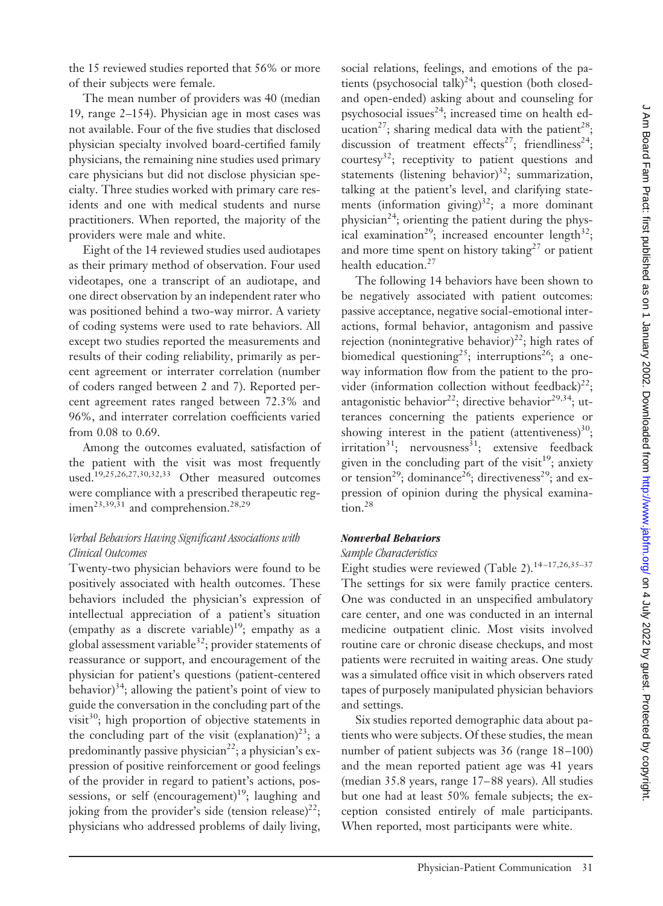the 15 reviewed studies reported that 56% or more of their subjects were female.

The mean number of providers was 40 (median 19, range 2–154). Physician age in most cases was not available. Four of the five studies that disclosed physician specialty involved board-certified family physicians, the remaining nine studies used primary care physicians but did not disclose physician specialty. Three studies worked with primary care residents and one with medical students and nurse practitioners. When reported, the majority of the providers were male and white.

Eight of the 14 reviewed studies used audiotapes as their primary method of observation. Four used videotapes, one a transcript of an audiotape, and one direct observation by an independent rater who was positioned behind a two-way mirror. A variety of coding systems were used to rate behaviors. All except two studies reported the measurements and results of their coding reliability, primarily as percent agreement or interrater correlation (number of coders ranged between 2 and 7). Reported percent agreement rates ranged between 72.3% and 96%, and interrater correlation coefficients varied from 0.08 to 0.69.

Among the outcomes evaluated, satisfaction of the patient with the visit was most frequently used.<sup>19,25,26,27,30,32,33</sup> Other measured outcomes were compliance with a prescribed therapeutic regimen<sup>23,39,31</sup> and comprehension.<sup>28,29</sup>

#### *Verbal Behaviors Having Significant Associations with Clinical Outcomes*

Twenty-two physician behaviors were found to be positively associated with health outcomes. These behaviors included the physician's expression of intellectual appreciation of a patient's situation (empathy as a discrete variable)<sup>19</sup>; empathy as a global assessment variable<sup>32</sup>; provider statements of reassurance or support, and encouragement of the physician for patient's questions (patient-centered behavior) $34$ ; allowing the patient's point of view to guide the conversation in the concluding part of the visit $30$ ; high proportion of objective statements in the concluding part of the visit (explanation)<sup>23</sup>; a predominantly passive physician<sup>22</sup>; a physician's expression of positive reinforcement or good feelings of the provider in regard to patient's actions, possessions, or self (encouragement)<sup>19</sup>; laughing and joking from the provider's side (tension release)<sup>22</sup>; physicians who addressed problems of daily living,

social relations, feelings, and emotions of the patients (psychosocial talk) $^{24}$ ; question (both closedand open-ended) asking about and counseling for psychosocial issues $^{24}$ ; increased time on health education<sup>27</sup>; sharing medical data with the patient<sup>28</sup>; discussion of treatment effects<sup>27</sup>; friendliness<sup>24</sup>; courtesy<sup>32</sup>; receptivity to patient questions and statements (listening behavior)<sup>32</sup>; summarization, talking at the patient's level, and clarifying statements (information giving) $32$ ; a more dominant physician<sup>24</sup>; orienting the patient during the physical examination<sup>29</sup>; increased encounter length<sup>32</sup>; and more time spent on history taking $27$  or patient health education.<sup>27</sup>

The following 14 behaviors have been shown to be negatively associated with patient outcomes: passive acceptance, negative social-emotional interactions, formal behavior, antagonism and passive rejection (nonintegrative behavior)<sup>22</sup>; high rates of biomedical questioning<sup>25</sup>; interruptions<sup>26</sup>; a oneway information flow from the patient to the provider (information collection without feedback)<sup>22</sup>; antagonistic behavior<sup>22</sup>; directive behavior<sup>29,34</sup>; utterances concerning the patients experience or showing interest in the patient (attentiveness) $^{30}$ ;  $irritation<sup>31</sup>;$  nervousness<sup>31</sup>; extensive feedback given in the concluding part of the visit<sup>19</sup>; anxiety or tension<sup>29</sup>; dominance<sup>26</sup>; directiveness<sup>29</sup>; and expression of opinion during the physical examination.28

## *Nonverbal Behaviors*

#### *Sample Characteristics*

Eight studies were reviewed (Table 2).<sup>14-17,26,35-37</sup> The settings for six were family practice centers. One was conducted in an unspecified ambulatory care center, and one was conducted in an internal medicine outpatient clinic. Most visits involved routine care or chronic disease checkups, and most patients were recruited in waiting areas. One study was a simulated office visit in which observers rated tapes of purposely manipulated physician behaviors and settings.

Six studies reported demographic data about patients who were subjects. Of these studies, the mean number of patient subjects was 36 (range 18 –100) and the mean reported patient age was 41 years (median 35.8 years, range 17– 88 years). All studies but one had at least 50% female subjects; the exception consisted entirely of male participants. When reported, most participants were white.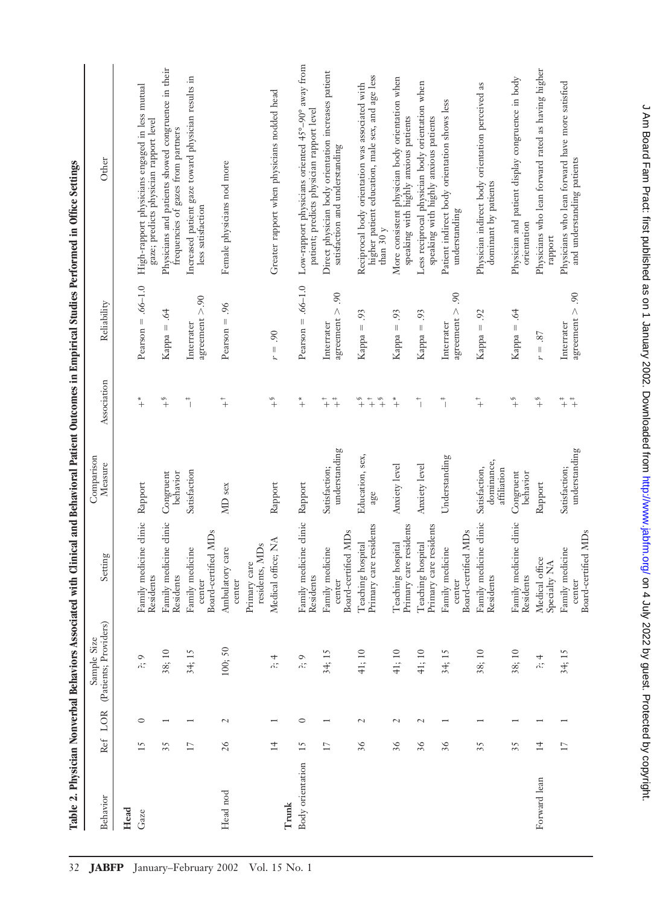|                  |                 |                          |                                      |                                                  |                                            |                                                     |                                                                                                                                                                                                                                                                                                                                                                                                                                                                                                | T GOTE TE TRANSPORTED TO THE PRODUCED THAT IS A PRODUCED TO THE PRODUCED THAT IS A PRODUCED TO THE PRODUCED TO THE PRODUCED TO THE PRODUCED TO THE PRODUCED TO THE PRODUCED TO THE PRODUCED TO THE PRODUCED TO THE PRODUCED TO |
|------------------|-----------------|--------------------------|--------------------------------------|--------------------------------------------------|--------------------------------------------|-----------------------------------------------------|------------------------------------------------------------------------------------------------------------------------------------------------------------------------------------------------------------------------------------------------------------------------------------------------------------------------------------------------------------------------------------------------------------------------------------------------------------------------------------------------|--------------------------------------------------------------------------------------------------------------------------------------------------------------------------------------------------------------------------------|
| Behavior         | Ref             | LOR                      | (Patients; Providers)<br>Sample Size | Setting                                          | Comparison<br>Measure                      | Association                                         | Reliability                                                                                                                                                                                                                                                                                                                                                                                                                                                                                    | Other                                                                                                                                                                                                                          |
| Head             |                 |                          |                                      |                                                  |                                            |                                                     |                                                                                                                                                                                                                                                                                                                                                                                                                                                                                                |                                                                                                                                                                                                                                |
| Gaze             | 15              | $\circ$                  | $\circ$<br>ň.                        | medicine clinic<br>Residents<br>Family           | Rapport                                    | $+$                                                 | Pearson $= .66-1.0$                                                                                                                                                                                                                                                                                                                                                                                                                                                                            | High-rapport physicians engaged in less mutual<br>gaze; predicts physician rapport level                                                                                                                                       |
|                  | 35              |                          | 38; 10                               | medicine clinic<br>Residents<br>Family           | Congruent<br>behavior                      | $\overset{\circ}{+}$                                | $\dot{e}$<br>$\parallel$<br>Kappa -                                                                                                                                                                                                                                                                                                                                                                                                                                                            | Physicians and patients showed congruence in their<br>frequencies of gazes from partners                                                                                                                                       |
|                  | 17              |                          | 34; 15                               | Board-certified MDs<br>Family medicine<br>center | Satisfaction                               | $\ddot{\bar{\phantom{a}}}_\parallel$                | agreement $> .90$<br>Interrater                                                                                                                                                                                                                                                                                                                                                                                                                                                                | Increased patient gaze toward physician results in<br>less satisfaction                                                                                                                                                        |
| Head nod         | 26              | $\sim$                   | 100;50                               | Ambulatory care<br>center                        | MD sex                                     | $\ddagger$                                          | 96.<br>Pearson $=$                                                                                                                                                                                                                                                                                                                                                                                                                                                                             | Female physicians nod more                                                                                                                                                                                                     |
|                  |                 |                          |                                      | residents, MDs<br>Primary care                   |                                            |                                                     |                                                                                                                                                                                                                                                                                                                                                                                                                                                                                                |                                                                                                                                                                                                                                |
| Trunk            | $\overline{14}$ |                          | 4<br>'n.                             | Medical office; NA                               | Rapport                                    | $\overset{\otimes}{+}$                              | 90<br>$\label{eq:1} \begin{array}{c} \vspace{0.05in} \quad \text{[} \quad \text{[} \quad \text{[} \quad \text{[} \quad \text{[} \quad \text{[} \quad \text{[} \quad \text{[} \quad \text{[} \quad \text{[} \quad \text{[} \quad \text{[} \quad \text{[} \quad \text{[} \quad \text{[} \quad \text{[} \quad \text{[} \quad \text{[} \quad \text{[} \quad \text{[} \quad \text{[} \quad \text{[} \quad \text{[} \quad \text{[} \quad \text{[} \quad \text{[} \quad \text{[} \quad \text{[}$<br>r | Greater rapport when physicians nodded head                                                                                                                                                                                    |
| Body orientation | 15              | $\circ$                  | $\circ$<br>'n.                       | Family medicine clinic<br>Residents              | Rapport                                    | $^\ast_+$                                           | Pearson $= .66-1.0$                                                                                                                                                                                                                                                                                                                                                                                                                                                                            | Low-rapport physicians oriented 45°-90° away from<br>patient; predicts physician rapport level                                                                                                                                 |
|                  | $\overline{17}$ | $\overline{\phantom{0}}$ | 34; 15                               | Family medicine                                  | Satisfaction;                              | $\ddot{+}$<br>$\ddagger$                            | Interrater                                                                                                                                                                                                                                                                                                                                                                                                                                                                                     | Direct physician body orientation increases patient                                                                                                                                                                            |
|                  |                 |                          |                                      | Board-certified MDs<br>cente                     | understanding                              |                                                     | agreement $> .90$                                                                                                                                                                                                                                                                                                                                                                                                                                                                              | satisfaction and understanding                                                                                                                                                                                                 |
|                  | 36              | $\sim$                   | 41; 10                               | Primary care residents<br>Teaching hospital      | Education, sex,<br>age                     | $^\circ\!$<br>$\ddagger$<br>$\overset{\diamond}{+}$ | 93<br>$Kappa =$                                                                                                                                                                                                                                                                                                                                                                                                                                                                                | higher patient education, male sex, and age less<br>Reciprocal body orientation was associated with<br>than $30v$                                                                                                              |
|                  | 36              | $\overline{\mathcal{L}}$ | 41; 10                               | Primary care residents<br>Teaching hospital      | Anxiety level                              | $^\ast_+$                                           | 93<br>$\vert\vert$<br>Kappa                                                                                                                                                                                                                                                                                                                                                                                                                                                                    | More consistent physician body orientation when<br>speaking with highly anxious patients                                                                                                                                       |
|                  | 36              | $\overline{\mathcal{L}}$ | 41; 10                               | Primary care residents<br>Teaching hospital      | Anxiety level                              | $\overline{\phantom{a}}$                            | Kappa = $.93$                                                                                                                                                                                                                                                                                                                                                                                                                                                                                  | Less reciprocal physician body orientation when<br>speaking with highly anxious patients                                                                                                                                       |
|                  | 36              |                          | 34; 15                               | Board-certified MDs<br>Family medicine<br>center | Understanding                              | $\ddot{\bar{\phantom{a}}}_\parallel$                | 90<br>agreement $>$<br>Interrater                                                                                                                                                                                                                                                                                                                                                                                                                                                              | Patient indirect body orientation shows less<br>understanding                                                                                                                                                                  |
|                  | 35              | $\overline{\phantom{0}}$ | 38; 10                               | medicine clinic<br>Residents<br>Family           | dominance,<br>Satisfaction,<br>affiliation | $\ddot{+}$                                          | 92<br>$Kappa =$                                                                                                                                                                                                                                                                                                                                                                                                                                                                                | Physician indirect body orientation perceived as<br>dominant by patients                                                                                                                                                       |
|                  | 35              | $\overline{\phantom{0}}$ | 38; 10                               | Family medicine clinic<br>Residents              | Congruent<br>behavior                      | $^\circ\!$                                          | $Kappa = .64$                                                                                                                                                                                                                                                                                                                                                                                                                                                                                  | Physician and patient display congruence in body<br>orientation                                                                                                                                                                |
| Forward lean     | $\overline{14}$ |                          | 4<br>$\ddot{\alpha}$                 | Medical office<br>Specialty NA                   | Rapport                                    | $^\circ\!$                                          | $r = .87$                                                                                                                                                                                                                                                                                                                                                                                                                                                                                      | Physicians who lean forward rated as having higher<br>rapport                                                                                                                                                                  |
|                  | $\overline{17}$ |                          | 34; 15                               | Board-certified MDs<br>Family medicine<br>center | understanding<br>Satisfaction;             | $\ddot{+}$<br>$\ddagger$                            | $\delta$ .<br>agreement $>$<br>Interrater                                                                                                                                                                                                                                                                                                                                                                                                                                                      | Physicians who lean forward have more satisfied<br>and understanding patients                                                                                                                                                  |

Table 2. Physician Nonverbal Rehaviors Associated with Clinical and Rehavioral Patient Outcomes in Empirical Studies Performed in Office Settinos Table 2. Physician Nonverbal Behaviors Associated with Clinical and Behavioral Patient Outcomes in Empirical Studies Performed in Office Settings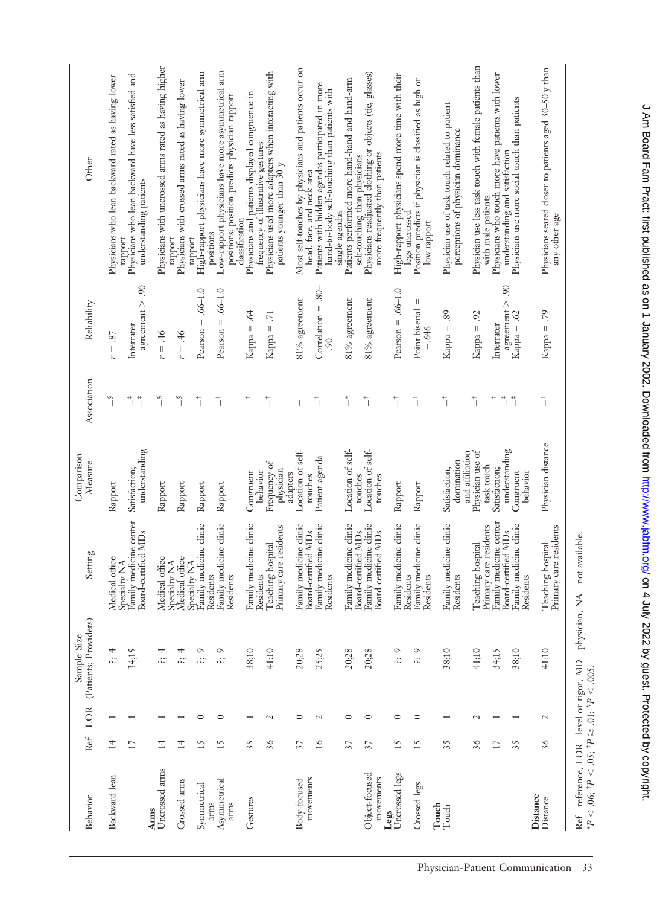| Behavior                      | Ref             | LOR                      | (Patients; Providers)<br>Sample Size                 | Setting                                                       | Comparison<br>Measure                             | Association                                 | Reliability                                      | Other                                                                                                                      |
|-------------------------------|-----------------|--------------------------|------------------------------------------------------|---------------------------------------------------------------|---------------------------------------------------|---------------------------------------------|--------------------------------------------------|----------------------------------------------------------------------------------------------------------------------------|
| Backward lean                 | 14              |                          | 4<br>'n.                                             | Medical office                                                | Rapport                                           | S                                           | $= .87$<br>r                                     | Physicians who lean backward rated as having lower                                                                         |
|                               | 17              |                          | 34.15                                                | Family medicine center<br>Board-certified MDs<br>Specialty NA | understanding<br>Satisfaction;                    | $\ddot{ }$<br>$\ddot{\bar{\phantom{a}}}_\ $ | agreement $> .90$<br>Interrater                  | Physicians who lean backward have less satisfied and<br>understanding patients<br>rapport                                  |
| Uncrossed arms<br><b>Arms</b> | $\overline{1}$  |                          | 4<br>n:                                              | Medical office                                                | Rapport                                           | $x^2$                                       | $94 =$<br>r                                      | Physicians with uncrossed arms rated as having higher                                                                      |
| Crossed arms                  | $\overline{14}$ |                          | 4<br>'n.                                             | Medical office<br>Specialty NA                                | Rapport                                           | $\tilde{\mathcal{L}}$                       | $\ddot{ }$<br>$r =$                              | Physicians with crossed arms rated as having lower<br>rapport                                                              |
| Symmetrical                   | 15              | $\circ$                  | $\circ$<br>'n.                                       | Family medicine clinic<br>Specialty NA<br>Residents           | Rapport                                           | $\ddot{+}$                                  | $.66 - 1.0$<br>$Pearson =$                       | High-rapport physicians have more symmetrical arm<br>rapport                                                               |
| Asymmetrical<br>arms<br>arms  | 15              | $\circ$                  | $\circ$<br>'n.                                       | Family medicine clinic<br>Residents                           | Rapport                                           | $\ddot{+}$                                  | Pearson $= .66-1.0$                              | Low-rapport physicians have more asymmetrical arm<br>positions; position predicts physician rapport<br>positions           |
| Gestures                      | 35              |                          | 38;10                                                | Family medicine clinic<br>Residents                           | Congruent                                         | $\ddagger$                                  | $\dot{q}$<br>$Kappa =$                           | Physicians and patients displayed congruence in<br>frequency of illustrative gestures<br>classification                    |
|                               | 36              | $\sim$                   | 41:10                                                | Primary care residents<br>Teaching hospital                   | Frequency of<br>physician<br>behavior<br>adapters | $\ddagger$                                  | $\overline{2}$<br>$Kappa =$                      | Physicians used more adapters when interacting with<br>patients younger than 30 y                                          |
| Body-focused                  | 57              | $\circ$                  | 20;28                                                | Family medicine clinic<br>Board-certified MDs                 | Location of self-<br>touches                      | $^{+}$                                      | $81\%$ agreement                                 | Most self-touches by physicians and patients occur on<br>head, face, and neck area                                         |
| movements                     | 16              | $\overline{\mathcal{C}}$ | 25:25                                                | Family medicine clinic<br>Residents                           | Patient agenda                                    | $\ddagger$                                  | Correlation $= .80-$<br>ಽ಼                       | Patients with hidden agendas participated in more<br>hand-to-body self-touching than patients with                         |
|                               | 57              | $\circ$                  | 20;28                                                | Family medicine clinic<br>Board-certified MDs                 | Location of self-<br>touches                      | $^\ast\!$                                   | $81\%$ agreement                                 | Patients performed more hand-hand and hand-arm<br>single agendas                                                           |
| Object-focused<br>movements   | 57              | $\circ$                  | 20;28                                                | Family medicine clinic<br>Board-certified MDs                 | Location of self-<br>touches                      | $+$                                         | $81\%$ agreement                                 | self-touching than physicians<br>Physicians readjusted clothing or objects (tie, glasses)<br>more frequently than patients |
| Uncrossed legs<br>Legs        | 15              | $\circ$                  | $\circ$<br>'n.                                       | Family medicine clinic<br>Residents                           | Rapport                                           | $^{+}_{+}$                                  | Pearson $= .66-1.0$                              | High-rapport physicians spend more time with their<br>legs uncrossed                                                       |
| Crossed legs<br>Touch         | 15              | $\circ$                  | $\circ$<br>'n.                                       | Family medicine clinic<br>Residents                           | Rapport                                           | $\ddot{+}$                                  | Ш<br>Point biserial<br>-.646                     | Position predicts if physician is classified as high or<br>low rapport                                                     |
| Touch                         | 35              |                          | 38;10                                                | Family medicine clinic<br>Residents                           | and affiliation<br>domination<br>Satisfaction,    | $\ddot{+}$                                  | 89<br>$\parallel$<br>Kappa                       | Physician use of task touch related to patient<br>perceptions of physician dominance                                       |
|                               | 36              | $\sim$                   | 41;10                                                | Primary care residents<br>Teaching hospital                   | Physician use of<br>task touch                    | $\ddot{+}$                                  | 92<br>$Kappa =$                                  | Physician use less task touch with female patients than<br>with male patients                                              |
|                               | 17              |                          | 34;15                                                | Family medicine center<br>Board-certified MDs                 | understanding<br>Satisfaction;                    | $\overline{\phantom{a}}$<br>$^+$ $\mid$     | $\overline{0}$<br>$a$ greement $>$<br>Interrater | Physicians who touch more have patients with lower<br>understanding and satisfaction                                       |
|                               | 35              |                          | 38;10                                                | Family medicine clinic<br>Residents                           | Congruent<br>behavior                             | $\ddot{ }$                                  | Kappa = $.62$                                    | Physicians use more social touch than patients                                                                             |
| Distance<br>Distance          | 36              | $\overline{\mathcal{C}}$ | 41;10                                                | Primary care residents<br>Teaching hospital                   | Physician distance                                | $\ddagger$                                  | .79<br>$Kappa =$                                 | Physicians seated closer to patients aged 30-50 y than<br>any other age                                                    |
|                               |                 |                          | Ref-reference, LOR-level or rigor, MD-physician, NA- | -not available.                                               |                                                   |                                             |                                                  |                                                                                                                            |

\**P*

.06; † *P*

 $< 0.05; ^{4}P$ 

 $\geqslant 01$ ;  $^{5}P$ 

 $\leq$  .005.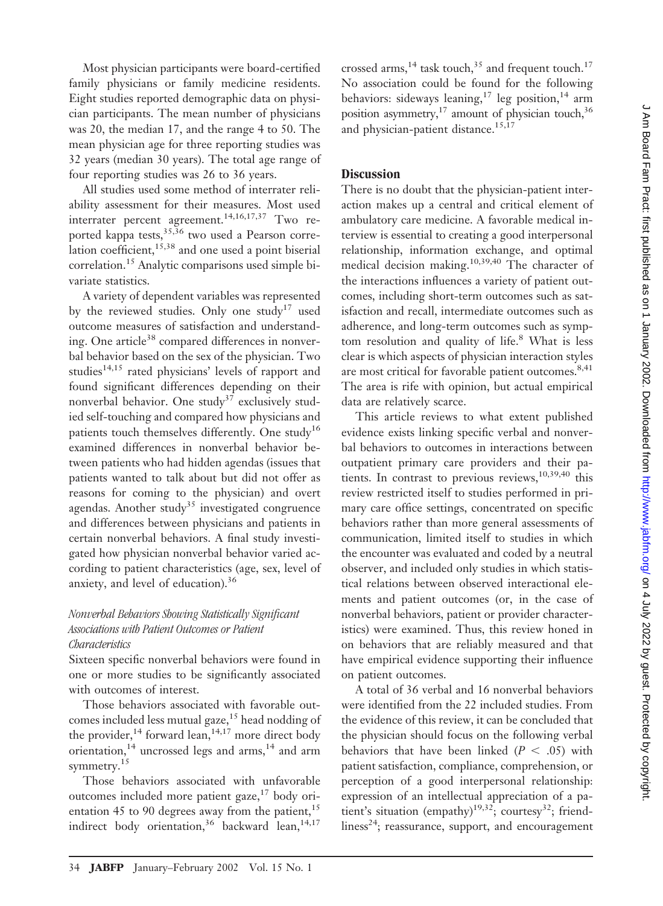Most physician participants were board-certified family physicians or family medicine residents. Eight studies reported demographic data on physician participants. The mean number of physicians was 20, the median 17, and the range 4 to 50. The mean physician age for three reporting studies was 32 years (median 30 years). The total age range of four reporting studies was 26 to 36 years.

All studies used some method of interrater reliability assessment for their measures. Most used interrater percent agreement.14,16,17,37 Two reported kappa tests,  $35,36$  two used a Pearson correlation coefficient, $15,38$  and one used a point biserial correlation.15 Analytic comparisons used simple bivariate statistics.

A variety of dependent variables was represented by the reviewed studies. Only one study<sup>17</sup> used outcome measures of satisfaction and understanding. One article<sup>38</sup> compared differences in nonverbal behavior based on the sex of the physician. Two studies<sup>14,15</sup> rated physicians' levels of rapport and found significant differences depending on their nonverbal behavior. One study<sup>37</sup> exclusively studied self-touching and compared how physicians and patients touch themselves differently. One study<sup>16</sup> examined differences in nonverbal behavior between patients who had hidden agendas (issues that patients wanted to talk about but did not offer as reasons for coming to the physician) and overt agendas. Another study<sup>35</sup> investigated congruence and differences between physicians and patients in certain nonverbal behaviors. A final study investigated how physician nonverbal behavior varied according to patient characteristics (age, sex, level of anxiety, and level of education).<sup>36</sup>

## *Nonverbal Behaviors Showing Statistically Significant Associations with Patient Outcomes or Patient Characteristics*

Sixteen specific nonverbal behaviors were found in one or more studies to be significantly associated with outcomes of interest.

Those behaviors associated with favorable outcomes included less mutual gaze,<sup>15</sup> head nodding of the provider,  $14$  forward lean,  $14,17$  more direct body orientation,  $14$  uncrossed legs and arms,  $14$  and arm symmetry.<sup>15</sup>

Those behaviors associated with unfavorable outcomes included more patient gaze, $17 \text{ body}$  orientation 45 to 90 degrees away from the patient, $15$ indirect body orientation,<sup>36</sup> backward lean,<sup>14,17</sup>

crossed arms,<sup>14</sup> task touch,<sup>35</sup> and frequent touch.<sup>17</sup> No association could be found for the following behaviors: sideways leaning,<sup>17</sup> leg position,<sup>14</sup> arm position asymmetry,<sup>17</sup> amount of physician touch,<sup>36</sup> and physician-patient distance.<sup>15,17</sup>

## **Discussion**

There is no doubt that the physician-patient interaction makes up a central and critical element of ambulatory care medicine. A favorable medical interview is essential to creating a good interpersonal relationship, information exchange, and optimal medical decision making.10,39,40 The character of the interactions influences a variety of patient outcomes, including short-term outcomes such as satisfaction and recall, intermediate outcomes such as adherence, and long-term outcomes such as symptom resolution and quality of life.<sup>8</sup> What is less clear is which aspects of physician interaction styles are most critical for favorable patient outcomes.<sup>8,41</sup> The area is rife with opinion, but actual empirical data are relatively scarce.

This article reviews to what extent published evidence exists linking specific verbal and nonverbal behaviors to outcomes in interactions between outpatient primary care providers and their patients. In contrast to previous reviews,  $10,39,40$  this review restricted itself to studies performed in primary care office settings, concentrated on specific behaviors rather than more general assessments of communication, limited itself to studies in which the encounter was evaluated and coded by a neutral observer, and included only studies in which statistical relations between observed interactional elements and patient outcomes (or, in the case of nonverbal behaviors, patient or provider characteristics) were examined. Thus, this review honed in on behaviors that are reliably measured and that have empirical evidence supporting their influence on patient outcomes.

A total of 36 verbal and 16 nonverbal behaviors were identified from the 22 included studies. From the evidence of this review, it can be concluded that the physician should focus on the following verbal behaviors that have been linked  $(P < .05)$  with patient satisfaction, compliance, comprehension, or perception of a good interpersonal relationship: expression of an intellectual appreciation of a patient's situation (empathy)<sup>19,32</sup>; courtesy<sup>32</sup>; friendliness<sup>24</sup>; reassurance, support, and encouragement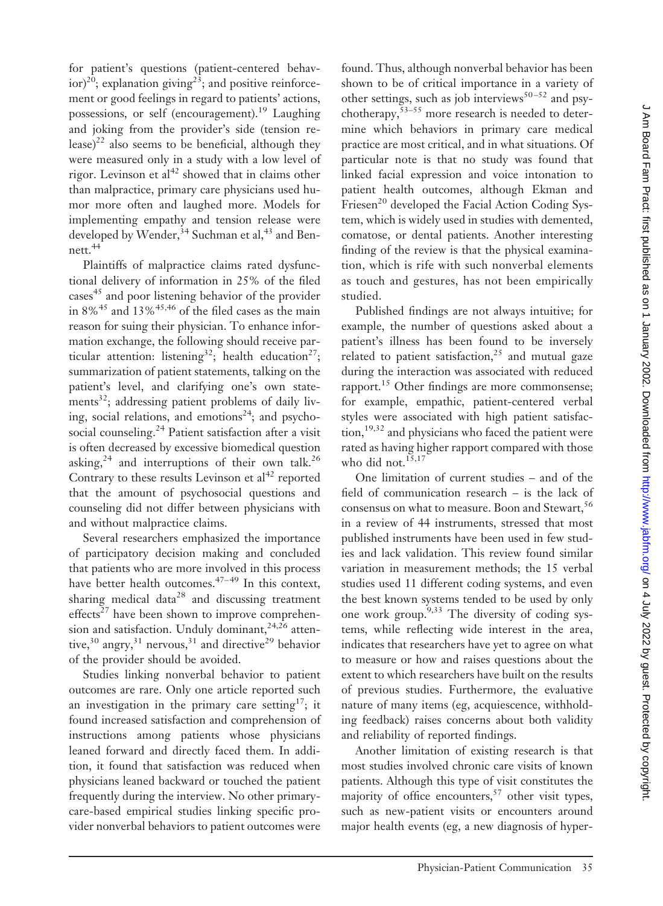for patient's questions (patient-centered behav $ior)^{20}$ ; explanation giving<sup>23</sup>; and positive reinforcement or good feelings in regard to patients' actions, possessions, or self (encouragement).<sup>19</sup> Laughing and joking from the provider's side (tension release)<sup>22</sup> also seems to be beneficial, although they were measured only in a study with a low level of rigor. Levinson et al<sup>42</sup> showed that in claims other than malpractice, primary care physicians used humor more often and laughed more. Models for implementing empathy and tension release were developed by Wender,<sup>34</sup> Suchman et al,<sup>43</sup> and Bennett.44

Plaintiffs of malpractice claims rated dysfunctional delivery of information in 25% of the filed cases<sup>45</sup> and poor listening behavior of the provider in  $8\%$ <sup>45</sup> and  $13\%$ <sup>45,46</sup> of the filed cases as the main reason for suing their physician. To enhance information exchange, the following should receive particular attention: listening<sup>32</sup>; health education<sup>27</sup>; summarization of patient statements, talking on the patient's level, and clarifying one's own statements $32$ ; addressing patient problems of daily living, social relations, and emotions<sup>24</sup>; and psychosocial counseling.<sup>24</sup> Patient satisfaction after a visit is often decreased by excessive biomedical question asking, $24$  and interruptions of their own talk. $26$ Contrary to these results Levinson et  $al<sup>42</sup>$  reported that the amount of psychosocial questions and counseling did not differ between physicians with and without malpractice claims.

Several researchers emphasized the importance of participatory decision making and concluded that patients who are more involved in this process have better health outcomes. $47-49$  In this context, sharing medical data<sup>28</sup> and discussing treatment effects<sup>27</sup> have been shown to improve comprehension and satisfaction. Unduly dominant,<sup>24,26</sup> attentive,<sup>30</sup> angry,<sup>31</sup> nervous,<sup>31</sup> and directive<sup>29</sup> behavior of the provider should be avoided.

Studies linking nonverbal behavior to patient outcomes are rare. Only one article reported such an investigation in the primary care setting<sup>17</sup>; it found increased satisfaction and comprehension of instructions among patients whose physicians leaned forward and directly faced them. In addition, it found that satisfaction was reduced when physicians leaned backward or touched the patient frequently during the interview. No other primarycare-based empirical studies linking specific provider nonverbal behaviors to patient outcomes were

found. Thus, although nonverbal behavior has been shown to be of critical importance in a variety of other settings, such as job interviews<sup>50-52</sup> and psychotherapy,  $53-55$  more research is needed to determine which behaviors in primary care medical practice are most critical, and in what situations. Of particular note is that no study was found that linked facial expression and voice intonation to patient health outcomes, although Ekman and Friesen<sup>20</sup> developed the Facial Action Coding System, which is widely used in studies with demented, comatose, or dental patients. Another interesting finding of the review is that the physical examination, which is rife with such nonverbal elements as touch and gestures, has not been empirically studied.

Published findings are not always intuitive; for example, the number of questions asked about a patient's illness has been found to be inversely related to patient satisfaction,<sup>25</sup> and mutual gaze during the interaction was associated with reduced rapport.15 Other findings are more commonsense; for example, empathic, patient-centered verbal styles were associated with high patient satisfac- $\text{tion},^{19,32}$  and physicians who faced the patient were rated as having higher rapport compared with those who did not. $15,17$ 

One limitation of current studies – and of the field of communication research – is the lack of consensus on what to measure. Boon and Stewart,<sup>56</sup> in a review of 44 instruments, stressed that most published instruments have been used in few studies and lack validation. This review found similar variation in measurement methods; the 15 verbal studies used 11 different coding systems, and even the best known systems tended to be used by only one work group.9,33 The diversity of coding systems, while reflecting wide interest in the area, indicates that researchers have yet to agree on what to measure or how and raises questions about the extent to which researchers have built on the results of previous studies. Furthermore, the evaluative nature of many items (eg, acquiescence, withholding feedback) raises concerns about both validity and reliability of reported findings.

Another limitation of existing research is that most studies involved chronic care visits of known patients. Although this type of visit constitutes the majority of office encounters,  $57$  other visit types, such as new-patient visits or encounters around major health events (eg, a new diagnosis of hyper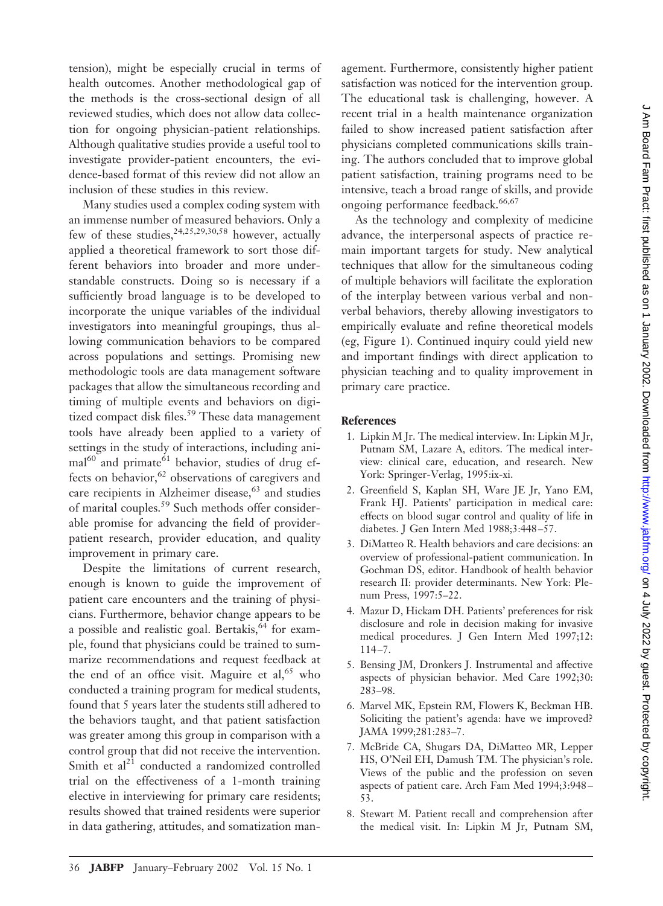tension), might be especially crucial in terms of health outcomes. Another methodological gap of the methods is the cross-sectional design of all reviewed studies, which does not allow data collection for ongoing physician-patient relationships. Although qualitative studies provide a useful tool to investigate provider-patient encounters, the evidence-based format of this review did not allow an inclusion of these studies in this review.

Many studies used a complex coding system with an immense number of measured behaviors. Only a few of these studies,  $24,25,29,30,58$  however, actually applied a theoretical framework to sort those different behaviors into broader and more understandable constructs. Doing so is necessary if a sufficiently broad language is to be developed to incorporate the unique variables of the individual investigators into meaningful groupings, thus allowing communication behaviors to be compared across populations and settings. Promising new methodologic tools are data management software packages that allow the simultaneous recording and timing of multiple events and behaviors on digitized compact disk files.<sup>59</sup> These data management tools have already been applied to a variety of settings in the study of interactions, including ani- $\text{mal}^{60}$  and primate<sup>61</sup> behavior, studies of drug effects on behavior, $62$  observations of caregivers and care recipients in Alzheimer disease,<sup>63</sup> and studies of marital couples.<sup>59</sup> Such methods offer considerable promise for advancing the field of providerpatient research, provider education, and quality improvement in primary care.

Despite the limitations of current research, enough is known to guide the improvement of patient care encounters and the training of physicians. Furthermore, behavior change appears to be a possible and realistic goal. Bertakis,  $64$  for example, found that physicians could be trained to summarize recommendations and request feedback at the end of an office visit. Maguire et al, $65$  who conducted a training program for medical students, found that 5 years later the students still adhered to the behaviors taught, and that patient satisfaction was greater among this group in comparison with a control group that did not receive the intervention. Smith et  $al^{21}$  conducted a randomized controlled trial on the effectiveness of a 1-month training elective in interviewing for primary care residents; results showed that trained residents were superior in data gathering, attitudes, and somatization man-

agement. Furthermore, consistently higher patient satisfaction was noticed for the intervention group. The educational task is challenging, however. A recent trial in a health maintenance organization failed to show increased patient satisfaction after physicians completed communications skills training. The authors concluded that to improve global patient satisfaction, training programs need to be intensive, teach a broad range of skills, and provide ongoing performance feedback.<sup>66,67</sup>

As the technology and complexity of medicine advance, the interpersonal aspects of practice remain important targets for study. New analytical techniques that allow for the simultaneous coding of multiple behaviors will facilitate the exploration of the interplay between various verbal and nonverbal behaviors, thereby allowing investigators to empirically evaluate and refine theoretical models (eg, Figure 1). Continued inquiry could yield new and important findings with direct application to physician teaching and to quality improvement in primary care practice.

## **References**

- 1. Lipkin M Jr. The medical interview. In: Lipkin M Jr, Putnam SM, Lazare A, editors. The medical interview: clinical care, education, and research. New York: Springer-Verlag, 1995:ix-xi.
- 2. Greenfield S, Kaplan SH, Ware JE Jr, Yano EM, Frank HJ. Patients' participation in medical care: effects on blood sugar control and quality of life in diabetes. J Gen Intern Med 1988;3:448 –57.
- 3. DiMatteo R. Health behaviors and care decisions: an overview of professional-patient communication. In Gochman DS, editor. Handbook of health behavior research II: provider determinants. New York: Plenum Press, 1997:5–22.
- 4. Mazur D, Hickam DH. Patients' preferences for risk disclosure and role in decision making for invasive medical procedures. J Gen Intern Med 1997;12:  $114 - 7.$
- 5. Bensing JM, Dronkers J. Instrumental and affective aspects of physician behavior. Med Care 1992;30: 283–98.
- 6. Marvel MK, Epstein RM, Flowers K, Beckman HB. Soliciting the patient's agenda: have we improved? JAMA 1999;281:283–7.
- 7. McBride CA, Shugars DA, DiMatteo MR, Lepper HS, O'Neil EH, Damush TM. The physician's role. Views of the public and the profession on seven aspects of patient care. Arch Fam Med 1994;3:948 – 53.
- 8. Stewart M. Patient recall and comprehension after the medical visit. In: Lipkin M Jr, Putnam SM,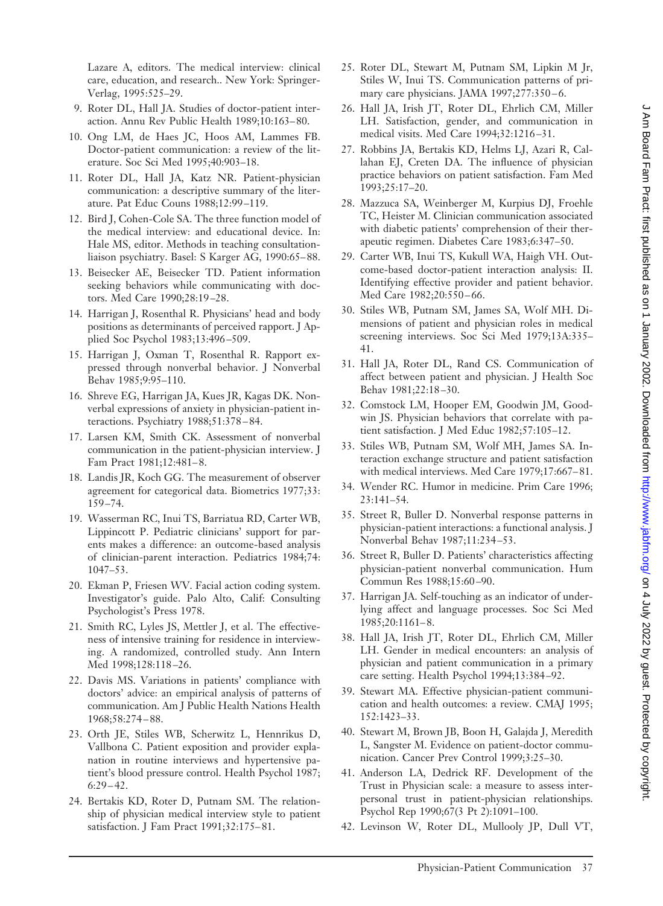Lazare A, editors. The medical interview: clinical care, education, and research.. New York: Springer-Verlag, 1995:525–29.

- 9. Roter DL, Hall JA. Studies of doctor-patient interaction. Annu Rev Public Health 1989;10:163– 80.
- 10. Ong LM, de Haes JC, Hoos AM, Lammes FB. Doctor-patient communication: a review of the literature. Soc Sci Med 1995;40:903–18.
- 11. Roter DL, Hall JA, Katz NR. Patient-physician communication: a descriptive summary of the literature. Pat Educ Couns 1988;12:99 –119.
- 12. Bird J, Cohen-Cole SA. The three function model of the medical interview: and educational device. In: Hale MS, editor. Methods in teaching consultationliaison psychiatry. Basel: S Karger AG, 1990:65-88.
- 13. Beisecker AE, Beisecker TD. Patient information seeking behaviors while communicating with doctors. Med Care 1990;28:19 –28.
- 14. Harrigan J, Rosenthal R. Physicians' head and body positions as determinants of perceived rapport. J Applied Soc Psychol 1983;13:496 –509.
- 15. Harrigan J, Oxman T, Rosenthal R. Rapport expressed through nonverbal behavior. J Nonverbal Behav 1985;9:95–110.
- 16. Shreve EG, Harrigan JA, Kues JR, Kagas DK. Nonverbal expressions of anxiety in physician-patient interactions. Psychiatry 1988;51:378-84.
- 17. Larsen KM, Smith CK. Assessment of nonverbal communication in the patient-physician interview. J Fam Pract 1981;12:481-8.
- 18. Landis JR, Koch GG. The measurement of observer agreement for categorical data. Biometrics 1977;33: 159 –74.
- 19. Wasserman RC, Inui TS, Barriatua RD, Carter WB, Lippincott P. Pediatric clinicians' support for parents makes a difference: an outcome-based analysis of clinician-parent interaction. Pediatrics 1984;74: 1047–53.
- 20. Ekman P, Friesen WV. Facial action coding system. Investigator's guide. Palo Alto, Calif: Consulting Psychologist's Press 1978.
- 21. Smith RC, Lyles JS, Mettler J, et al. The effectiveness of intensive training for residence in interviewing. A randomized, controlled study. Ann Intern Med 1998;128:118 –26.
- 22. Davis MS. Variations in patients' compliance with doctors' advice: an empirical analysis of patterns of communication. Am J Public Health Nations Health 1968;58:274 – 88.
- 23. Orth JE, Stiles WB, Scherwitz L, Hennrikus D, Vallbona C. Patient exposition and provider explanation in routine interviews and hypertensive patient's blood pressure control. Health Psychol 1987;  $6:29 - 42.$
- 24. Bertakis KD, Roter D, Putnam SM. The relationship of physician medical interview style to patient satisfaction. J Fam Pract 1991;32:175-81.
- 25. Roter DL, Stewart M, Putnam SM, Lipkin M Jr, Stiles W, Inui TS. Communication patterns of primary care physicians. JAMA 1997;277:350-6.
- 26. Hall JA, Irish JT, Roter DL, Ehrlich CM, Miller LH. Satisfaction, gender, and communication in medical visits. Med Care 1994;32:1216 –31.
- 27. Robbins JA, Bertakis KD, Helms LJ, Azari R, Callahan EJ, Creten DA. The influence of physician practice behaviors on patient satisfaction. Fam Med 1993;25:17–20.
- 28. Mazzuca SA, Weinberger M, Kurpius DJ, Froehle TC, Heister M. Clinician communication associated with diabetic patients' comprehension of their therapeutic regimen. Diabetes Care 1983;6:347–50.
- 29. Carter WB, Inui TS, Kukull WA, Haigh VH. Outcome-based doctor-patient interaction analysis: II. Identifying effective provider and patient behavior. Med Care 1982;20:550-66.
- 30. Stiles WB, Putnam SM, James SA, Wolf MH. Dimensions of patient and physician roles in medical screening interviews. Soc Sci Med 1979;13A:335– 41.
- 31. Hall JA, Roter DL, Rand CS. Communication of affect between patient and physician. J Health Soc Behav 1981;22:18 –30.
- 32. Comstock LM, Hooper EM, Goodwin JM, Goodwin JS. Physician behaviors that correlate with patient satisfaction. J Med Educ 1982;57:105–12.
- 33. Stiles WB, Putnam SM, Wolf MH, James SA. Interaction exchange structure and patient satisfaction with medical interviews. Med Care 1979;17:667-81.
- 34. Wender RC. Humor in medicine. Prim Care 1996; 23:141–54.
- 35. Street R, Buller D. Nonverbal response patterns in physician-patient interactions: a functional analysis. J Nonverbal Behav 1987;11:234 –53.
- 36. Street R, Buller D. Patients' characteristics affecting physician-patient nonverbal communication. Hum Commun Res 1988;15:60 –90.
- 37. Harrigan JA. Self-touching as an indicator of underlying affect and language processes. Soc Sci Med 1985;20:1161– 8.
- 38. Hall JA, Irish JT, Roter DL, Ehrlich CM, Miller LH. Gender in medical encounters: an analysis of physician and patient communication in a primary care setting. Health Psychol 1994;13:384 –92.
- 39. Stewart MA. Effective physician-patient communication and health outcomes: a review. CMAJ 1995; 152:1423–33.
- 40. Stewart M, Brown JB, Boon H, Galajda J, Meredith L, Sangster M. Evidence on patient-doctor communication. Cancer Prev Control 1999;3:25–30.
- 41. Anderson LA, Dedrick RF. Development of the Trust in Physician scale: a measure to assess interpersonal trust in patient-physician relationships. Psychol Rep 1990;67(3 Pt 2):1091–100.
- 42. Levinson W, Roter DL, Mullooly JP, Dull VT,